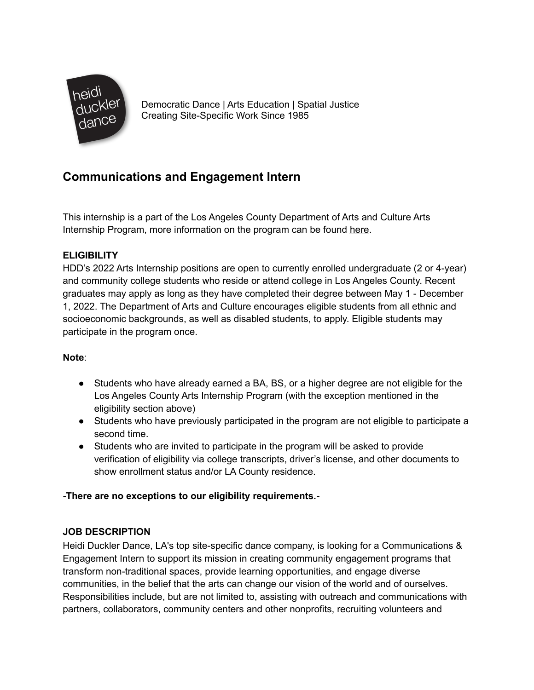

Democratic Dance | Arts Education | Spatial Justice Creating Site-Specific Work Since 1985

# **Communications and Engagement Intern**

This internship is a part of the Los Angeles County Department of Arts and Culture Arts Internship Program, more information on the program can be found [here](https://www.lacountyarts.org/opportunities/arts-internship-program-students/about-arts-internship-program-students).

## **ELIGIBILITY**

HDD's 2022 Arts Internship positions are open to currently enrolled undergraduate (2 or 4-year) and community college students who reside or attend college in Los Angeles County. Recent graduates may apply as long as they have completed their degree between May 1 - December 1, 2022. The Department of Arts and Culture encourages eligible students from all ethnic and socioeconomic backgrounds, as well as disabled students, to apply. Eligible students may participate in the program once.

## **Note**:

- Students who have already earned a BA, BS, or a higher degree are not eligible for the Los Angeles County Arts Internship Program (with the exception mentioned in the eligibility section above)
- Students who have previously participated in the program are not eligible to participate a second time.
- Students who are invited to participate in the program will be asked to provide verification of eligibility via college transcripts, driver's license, and other documents to show enrollment status and/or LA County residence.

## **-There are no exceptions to our eligibility requirements.-**

## **JOB DESCRIPTION**

Heidi Duckler Dance, LA's top site-specific dance company, is looking for a Communications & Engagement Intern to support its mission in creating community engagement programs that transform non-traditional spaces, provide learning opportunities, and engage diverse communities, in the belief that the arts can change our vision of the world and of ourselves. Responsibilities include, but are not limited to, assisting with outreach and communications with partners, collaborators, community centers and other nonprofits, recruiting volunteers and